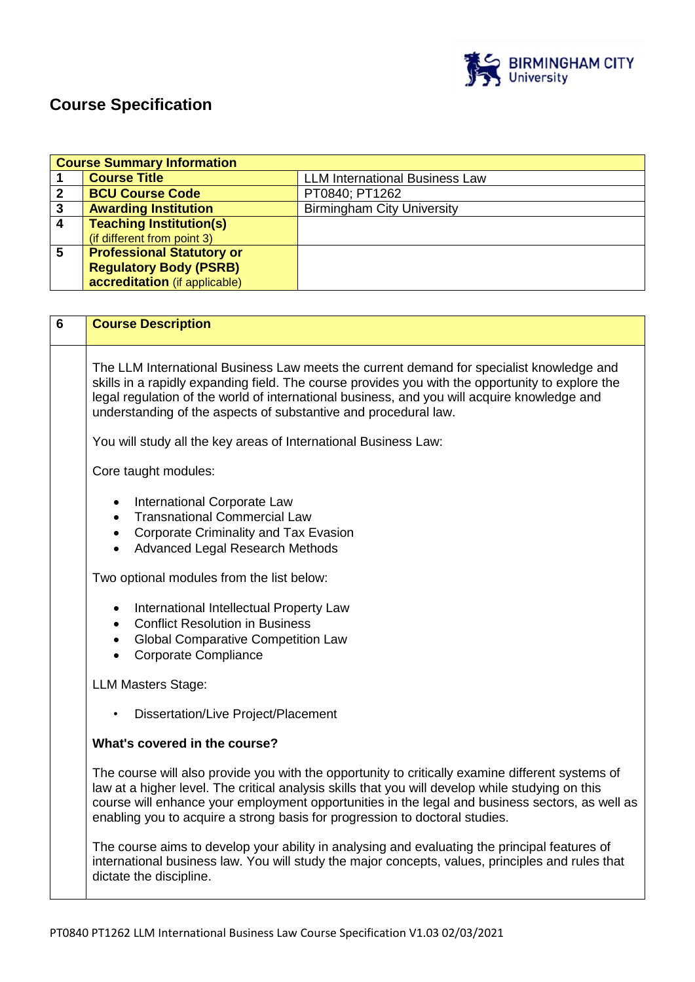

# **Course Specification**

|                  | <b>Course Summary Information</b> |                                       |  |  |
|------------------|-----------------------------------|---------------------------------------|--|--|
|                  | <b>Course Title</b>               | <b>LLM International Business Law</b> |  |  |
| 2                | <b>BCU Course Code</b>            | PT0840; PT1262                        |  |  |
| 3                | <b>Awarding Institution</b>       | <b>Birmingham City University</b>     |  |  |
| $\boldsymbol{4}$ | <b>Teaching Institution(s)</b>    |                                       |  |  |
|                  | (if different from point 3)       |                                       |  |  |
| 5                | <b>Professional Statutory or</b>  |                                       |  |  |
|                  | <b>Regulatory Body (PSRB)</b>     |                                       |  |  |
|                  | accreditation (if applicable)     |                                       |  |  |

| 6 | <b>Course Description</b>                                                                                                                                                                                                                                                                                                                                                              |
|---|----------------------------------------------------------------------------------------------------------------------------------------------------------------------------------------------------------------------------------------------------------------------------------------------------------------------------------------------------------------------------------------|
|   | The LLM International Business Law meets the current demand for specialist knowledge and<br>skills in a rapidly expanding field. The course provides you with the opportunity to explore the<br>legal regulation of the world of international business, and you will acquire knowledge and<br>understanding of the aspects of substantive and procedural law.                         |
|   | You will study all the key areas of International Business Law:                                                                                                                                                                                                                                                                                                                        |
|   | Core taught modules:                                                                                                                                                                                                                                                                                                                                                                   |
|   | International Corporate Law<br><b>Transnational Commercial Law</b><br>$\bullet$<br><b>Corporate Criminality and Tax Evasion</b><br>$\bullet$<br><b>Advanced Legal Research Methods</b><br>$\bullet$                                                                                                                                                                                    |
|   | Two optional modules from the list below:                                                                                                                                                                                                                                                                                                                                              |
|   | International Intellectual Property Law<br><b>Conflict Resolution in Business</b><br><b>Global Comparative Competition Law</b><br><b>Corporate Compliance</b>                                                                                                                                                                                                                          |
|   | <b>LLM Masters Stage:</b>                                                                                                                                                                                                                                                                                                                                                              |
|   | Dissertation/Live Project/Placement                                                                                                                                                                                                                                                                                                                                                    |
|   | What's covered in the course?                                                                                                                                                                                                                                                                                                                                                          |
|   | The course will also provide you with the opportunity to critically examine different systems of<br>law at a higher level. The critical analysis skills that you will develop while studying on this<br>course will enhance your employment opportunities in the legal and business sectors, as well as<br>enabling you to acquire a strong basis for progression to doctoral studies. |
|   | The course aims to develop your ability in analysing and evaluating the principal features of<br>international business law. You will study the major concepts, values, principles and rules that<br>dictate the discipline.                                                                                                                                                           |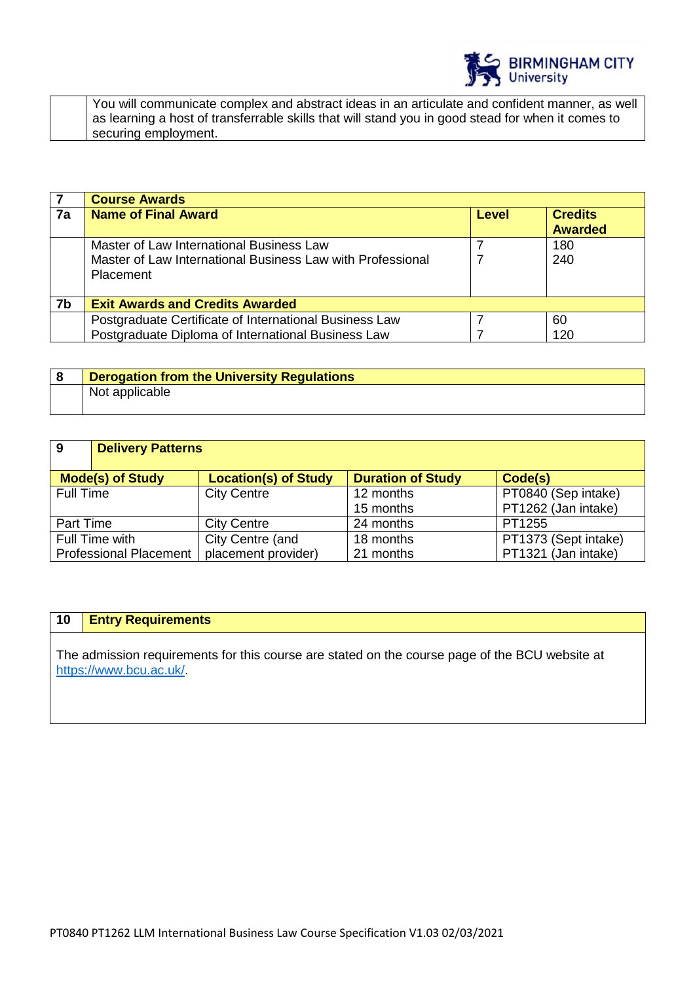

| You will communicate complex and abstract ideas in an articulate and confident manner, as well    |
|---------------------------------------------------------------------------------------------------|
| as learning a host of transferrable skills that will stand you in good stead for when it comes to |
| securing employment.                                                                              |

|    | <b>Course Awards</b>                                       |       |                                  |
|----|------------------------------------------------------------|-------|----------------------------------|
| 7a | <b>Name of Final Award</b>                                 | Level | <b>Credits</b><br><b>Awarded</b> |
|    | Master of Law International Business Law                   |       | 180                              |
|    | Master of Law International Business Law with Professional |       | 240                              |
|    | <b>Placement</b>                                           |       |                                  |
|    |                                                            |       |                                  |
| 7b | <b>Exit Awards and Credits Awarded</b>                     |       |                                  |
|    | Postgraduate Certificate of International Business Law     |       | 60                               |
|    | Postgraduate Diploma of International Business Law         |       | 120                              |

| <b>Derogation from the University Regulations</b> |
|---------------------------------------------------|
| Not applicable                                    |

| <b>9</b>                      | <b>Delivery Patterns</b>                                                                      |                     |           |                      |  |
|-------------------------------|-----------------------------------------------------------------------------------------------|---------------------|-----------|----------------------|--|
|                               | <b>Duration of Study</b><br><b>Mode(s) of Study</b><br><b>Location(s) of Study</b><br>Code(s) |                     |           |                      |  |
| Full Time                     |                                                                                               | <b>City Centre</b>  | 12 months | PT0840 (Sep intake)  |  |
|                               |                                                                                               |                     | 15 months | PT1262 (Jan intake)  |  |
| Part Time                     |                                                                                               | <b>City Centre</b>  | 24 months | PT1255               |  |
|                               | Full Time with                                                                                | City Centre (and    | 18 months | PT1373 (Sept intake) |  |
| <b>Professional Placement</b> |                                                                                               | placement provider) | 21 months | PT1321 (Jan intake)  |  |

# **10 Entry Requirements**

The admission requirements for this course are stated on the course page of the BCU website at [https://www.bcu.ac.uk/.](https://www.bcu.ac.uk/)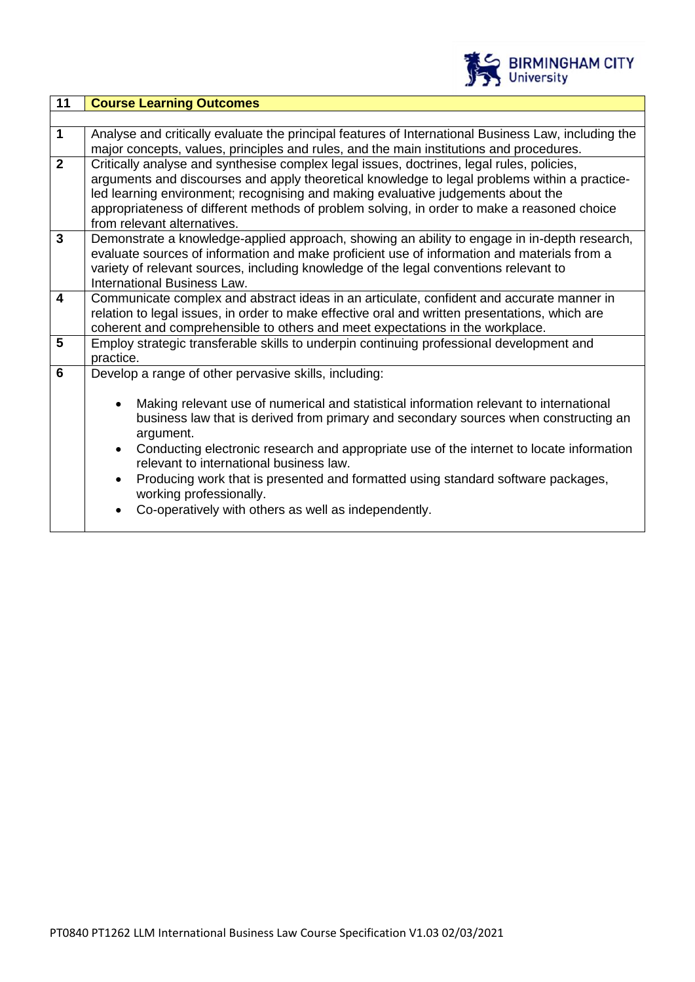

| 11                      | <b>Course Learning Outcomes</b>                                                                                                                                                                                                                                                                                                                                                                                                                                                                                                                  |  |  |
|-------------------------|--------------------------------------------------------------------------------------------------------------------------------------------------------------------------------------------------------------------------------------------------------------------------------------------------------------------------------------------------------------------------------------------------------------------------------------------------------------------------------------------------------------------------------------------------|--|--|
|                         |                                                                                                                                                                                                                                                                                                                                                                                                                                                                                                                                                  |  |  |
| $\mathbf 1$             | Analyse and critically evaluate the principal features of International Business Law, including the<br>major concepts, values, principles and rules, and the main institutions and procedures.                                                                                                                                                                                                                                                                                                                                                   |  |  |
| $\overline{2}$          | Critically analyse and synthesise complex legal issues, doctrines, legal rules, policies,<br>arguments and discourses and apply theoretical knowledge to legal problems within a practice-<br>led learning environment; recognising and making evaluative judgements about the<br>appropriateness of different methods of problem solving, in order to make a reasoned choice<br>from relevant alternatives.                                                                                                                                     |  |  |
| $\overline{3}$          | Demonstrate a knowledge-applied approach, showing an ability to engage in in-depth research,<br>evaluate sources of information and make proficient use of information and materials from a<br>variety of relevant sources, including knowledge of the legal conventions relevant to<br>International Business Law.                                                                                                                                                                                                                              |  |  |
| $\overline{\mathbf{4}}$ | Communicate complex and abstract ideas in an articulate, confident and accurate manner in<br>relation to legal issues, in order to make effective oral and written presentations, which are<br>coherent and comprehensible to others and meet expectations in the workplace.                                                                                                                                                                                                                                                                     |  |  |
| 5                       | Employ strategic transferable skills to underpin continuing professional development and<br>practice.                                                                                                                                                                                                                                                                                                                                                                                                                                            |  |  |
| 6                       | Develop a range of other pervasive skills, including:                                                                                                                                                                                                                                                                                                                                                                                                                                                                                            |  |  |
|                         | Making relevant use of numerical and statistical information relevant to international<br>$\bullet$<br>business law that is derived from primary and secondary sources when constructing an<br>argument.<br>Conducting electronic research and appropriate use of the internet to locate information<br>$\bullet$<br>relevant to international business law.<br>Producing work that is presented and formatted using standard software packages,<br>$\bullet$<br>working professionally.<br>Co-operatively with others as well as independently. |  |  |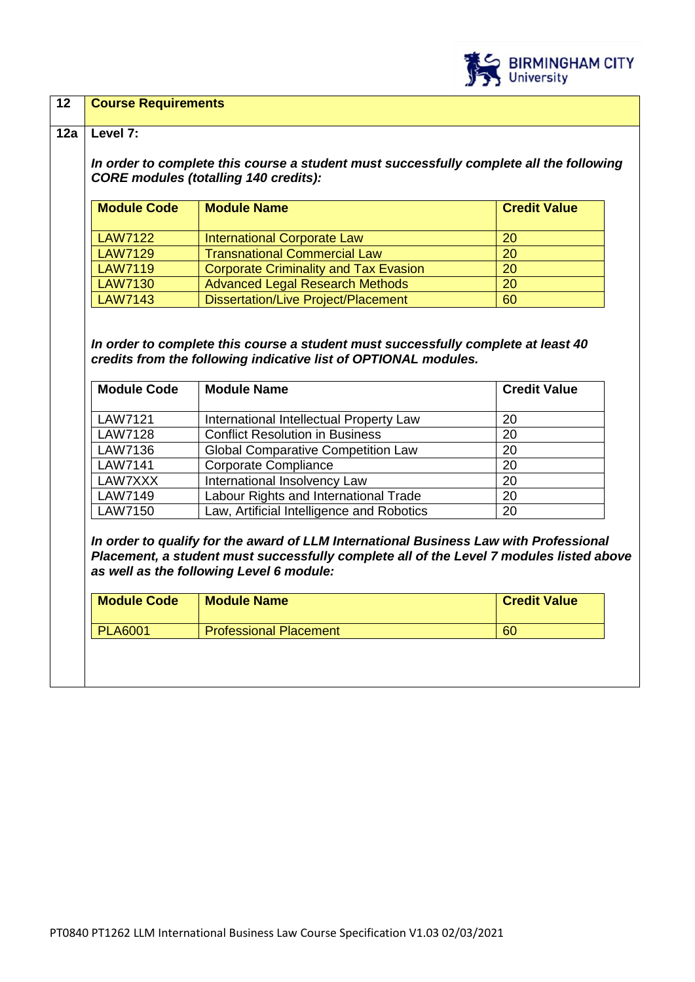

### **12 Course Requirements**

#### **12a Level 7:**

*In order to complete this course a student must successfully complete all the following CORE modules (totalling 140 credits):*

| <b>Module Code</b> | <b>Module Name</b>                           | <b>Credit Value</b> |
|--------------------|----------------------------------------------|---------------------|
| <b>LAW7122</b>     | <b>International Corporate Law</b>           | <b>20</b>           |
| <b>LAW7129</b>     | <b>Transnational Commercial Law</b>          | <b>20</b>           |
| <b>LAW7119</b>     | <b>Corporate Criminality and Tax Evasion</b> | 20                  |
| <b>LAW7130</b>     | <b>Advanced Legal Research Methods</b>       | 20                  |
| <b>LAW7143</b>     | <b>Dissertation/Live Project/Placement</b>   | 60                  |

*In order to complete this course a student must successfully complete at least 40 credits from the following indicative list of OPTIONAL modules.* 

| <b>Module Code</b> | <b>Module Name</b>                        | <b>Credit Value</b> |
|--------------------|-------------------------------------------|---------------------|
|                    |                                           |                     |
| LAW7121            | International Intellectual Property Law   | 20                  |
| <b>LAW7128</b>     | <b>Conflict Resolution in Business</b>    | 20                  |
| LAW7136            | <b>Global Comparative Competition Law</b> | 20                  |
| <b>LAW7141</b>     | Corporate Compliance                      | 20                  |
| LAW7XXX            | International Insolvency Law              | 20                  |
| <b>LAW7149</b>     | Labour Rights and International Trade     | 20                  |
| <b>LAW7150</b>     | Law, Artificial Intelligence and Robotics | 20                  |

*In order to qualify for the award of LLM International Business Law with Professional Placement, a student must successfully complete all of the Level 7 modules listed above as well as the following Level 6 module:*

| 60<br><b>Professional Placement</b><br><b>PLA6001</b> |  |
|-------------------------------------------------------|--|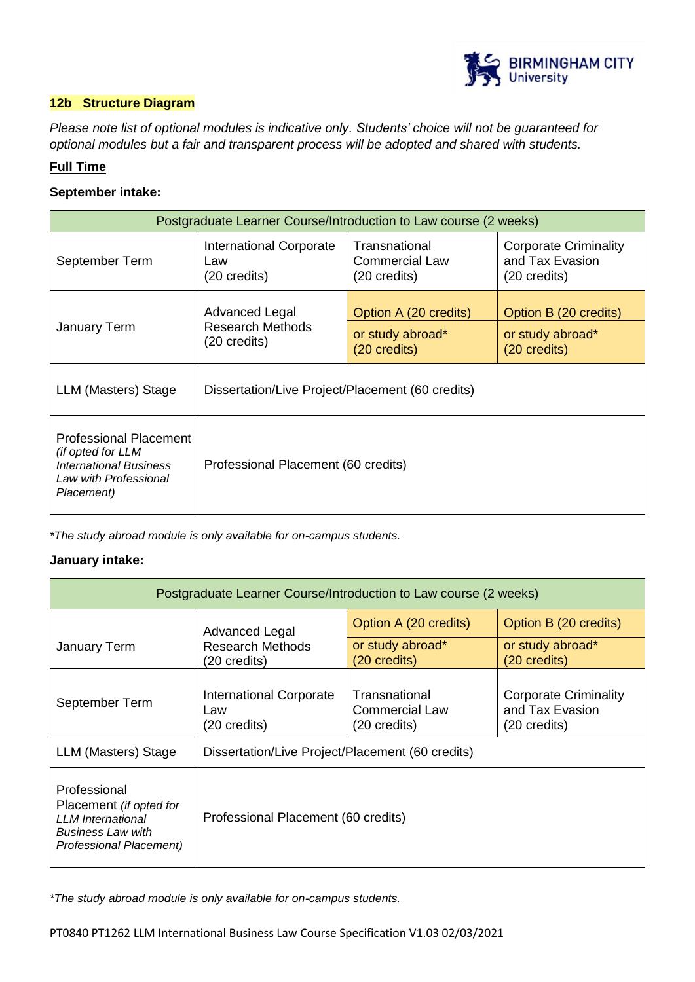

# **12b Structure Diagram**

*Please note list of optional modules is indicative only. Students' choice will not be guaranteed for optional modules but a fair and transparent process will be adopted and shared with students.*

# **Full Time**

# **September intake:**

| Postgraduate Learner Course/Introduction to Law course (2 weeks)                                                           |                                                           |                                                           |                                                                 |  |
|----------------------------------------------------------------------------------------------------------------------------|-----------------------------------------------------------|-----------------------------------------------------------|-----------------------------------------------------------------|--|
| September Term                                                                                                             | International Corporate<br>Law<br>(20 credits)            | Transnational<br>Commercial Law<br>$(20 \text{ credits})$ | <b>Corporate Criminality</b><br>and Tax Evasion<br>(20 credits) |  |
| <b>January Term</b>                                                                                                        | Advanced Legal<br><b>Research Methods</b><br>(20 credits) | Option A (20 credits)<br>or study abroad*<br>(20 credits) | Option B (20 credits)<br>or study abroad*<br>(20 credits)       |  |
| LLM (Masters) Stage                                                                                                        | Dissertation/Live Project/Placement (60 credits)          |                                                           |                                                                 |  |
| <b>Professional Placement</b><br>(if opted for LLM<br><b>International Business</b><br>Law with Professional<br>Placement) | Professional Placement (60 credits)                       |                                                           |                                                                 |  |

*\*The study abroad module is only available for on-campus students.*

# **January intake:**

| Postgraduate Learner Course/Introduction to Law course (2 weeks)                                                           |                                                       |                                                        |                                                                           |  |
|----------------------------------------------------------------------------------------------------------------------------|-------------------------------------------------------|--------------------------------------------------------|---------------------------------------------------------------------------|--|
|                                                                                                                            | <b>Advanced Legal</b>                                 | Option A (20 credits)                                  | Option B (20 credits)                                                     |  |
| January Term                                                                                                               | <b>Research Methods</b><br>(20 credits)               | or study abroad*<br>(20 credits)                       | or study abroad*<br>(20 credits)                                          |  |
| September Term                                                                                                             | <b>International Corporate</b><br>Law<br>(20 credits) | Transnational<br><b>Commercial Law</b><br>(20 credits) | <b>Corporate Criminality</b><br>and Tax Evasion<br>$(20 \text{ credits})$ |  |
| LLM (Masters) Stage                                                                                                        | Dissertation/Live Project/Placement (60 credits)      |                                                        |                                                                           |  |
| Professional<br>Placement (if opted for<br><b>LLM</b> International<br><b>Business Law with</b><br>Professional Placement) | Professional Placement (60 credits)                   |                                                        |                                                                           |  |

*\*The study abroad module is only available for on-campus students.*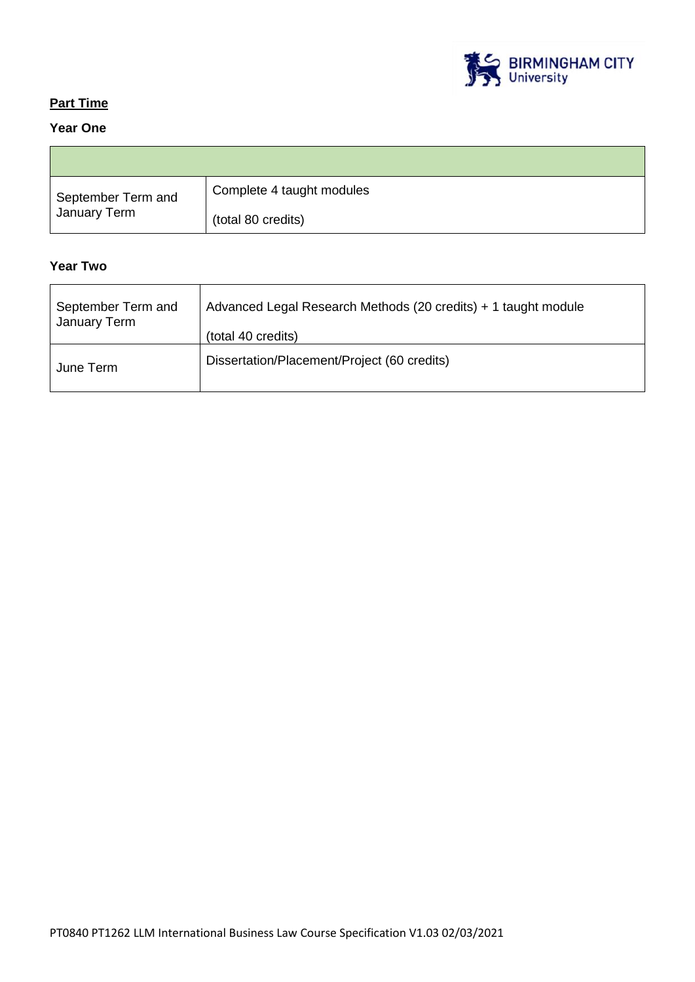

٦Ī,

# **Part Time**

# **Year One Contract Contract**

| September Term and<br>January Term | Complete 4 taught modules |
|------------------------------------|---------------------------|
|                                    | (total 80 credits)        |

# **Year Two**

| September Term and | Advanced Legal Research Methods (20 credits) + 1 taught module |
|--------------------|----------------------------------------------------------------|
| January Term       | (total 40 credits)                                             |
| June Term          | Dissertation/Placement/Project (60 credits)                    |